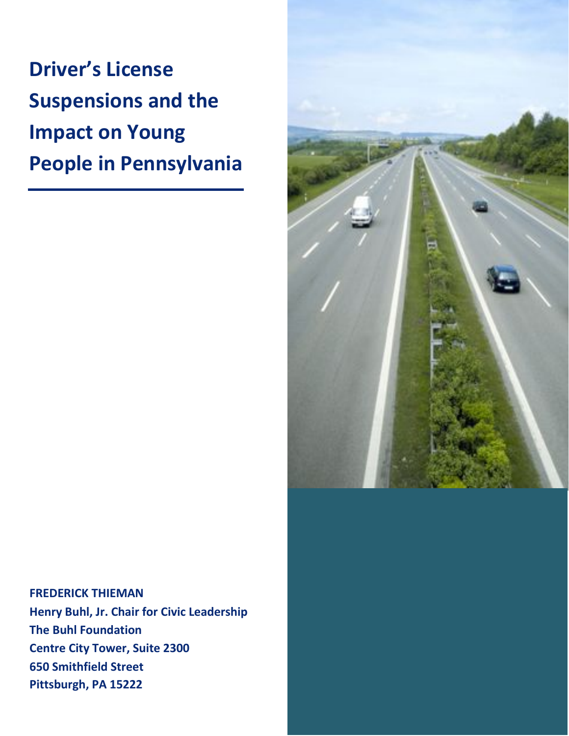**Driver's License Suspensions and the Impact on Young People in Pennsylvania**



**FREDERICK THIEMAN Henry Buhl, Jr. Chair for Civic Leadership The Buhl Foundation Centre City Tower, Suite 2300 650 Smithfield Street Pittsburgh, PA 15222**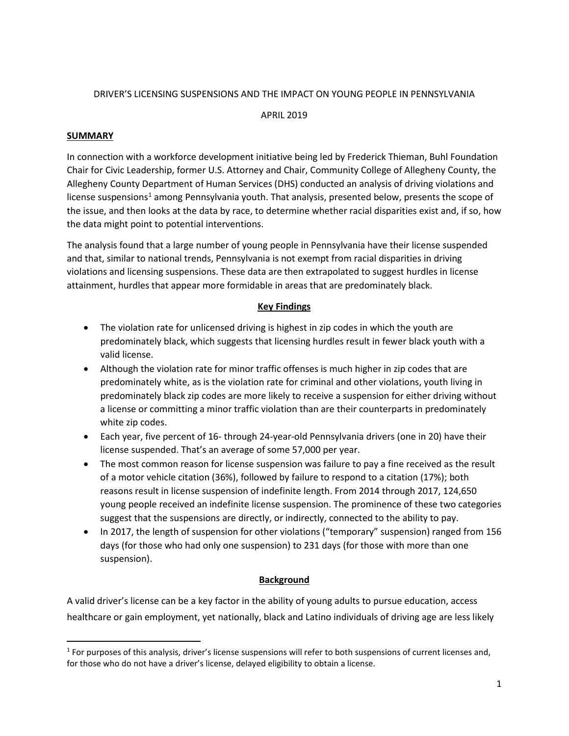#### DRIVER'S LICENSING SUSPENSIONS AND THE IMPACT ON YOUNG PEOPLE IN PENNSYLVANIA

## APRIL 2019

#### **SUMMARY**

In connection with a workforce development initiative being led by Frederick Thieman, Buhl Foundation Chair for Civic Leadership, former U.S. Attorney and Chair, Community College of Allegheny County, the Allegheny County Department of Human Services (DHS) conducted an analysis of driving violations and license suspensions<sup>[1](#page-1-0)</sup> among Pennsylvania youth. That analysis, presented below, presents the scope of the issue, and then looks at the data by race, to determine whether racial disparities exist and, if so, how the data might point to potential interventions.

The analysis found that a large number of young people in Pennsylvania have their license suspended and that, similar to national trends, Pennsylvania is not exempt from racial disparities in driving violations and licensing suspensions. These data are then extrapolated to suggest hurdles in license attainment, hurdles that appear more formidable in areas that are predominately black.

## **Key Findings**

- The violation rate for unlicensed driving is highest in zip codes in which the youth are predominately black, which suggests that licensing hurdles result in fewer black youth with a valid license.
- Although the violation rate for minor traffic offenses is much higher in zip codes that are predominately white, as is the violation rate for criminal and other violations, youth living in predominately black zip codes are more likely to receive a suspension for either driving without a license or committing a minor traffic violation than are their counterparts in predominately white zip codes.
- Each year, five percent of 16- through 24-year-old Pennsylvania drivers (one in 20) have their license suspended. That's an average of some 57,000 per year.
- The most common reason for license suspension was failure to pay a fine received as the result of a motor vehicle citation (36%), followed by failure to respond to a citation (17%); both reasons result in license suspension of indefinite length. From 2014 through 2017, 124,650 young people received an indefinite license suspension. The prominence of these two categories suggest that the suspensions are directly, or indirectly, connected to the ability to pay.
- In 2017, the length of suspension for other violations ("temporary" suspension) ranged from 156 days (for those who had only one suspension) to 231 days (for those with more than one suspension).

## **Background**

A valid driver's license can be a key factor in the ability of young adults to pursue education, access healthcare or gain employment, yet nationally, black and Latino individuals of driving age are less likely

<span id="page-1-0"></span> $1$  For purposes of this analysis, driver's license suspensions will refer to both suspensions of current licenses and, for those who do not have a driver's license, delayed eligibility to obtain a license.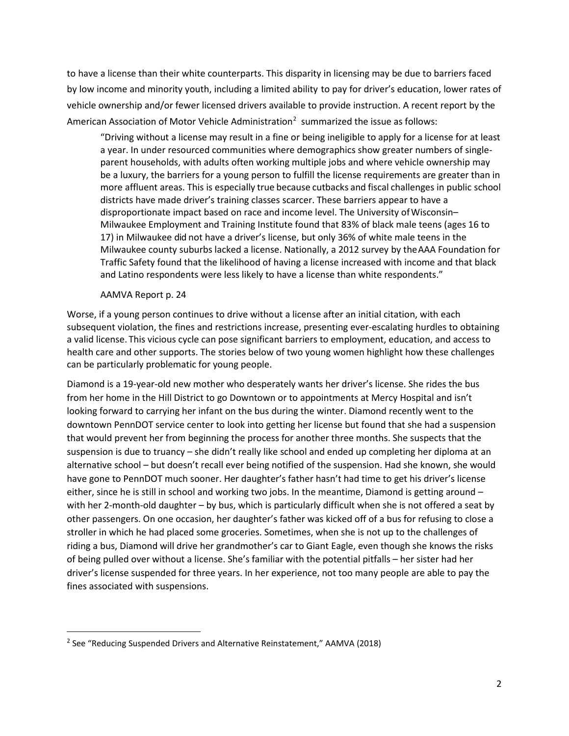to have a license than their white counterparts. This disparity in licensing may be due to barriers faced by low income and minority youth, including a limited ability to pay for driver's education, lower rates of vehicle ownership and/or fewer licensed drivers available to provide instruction. A recent report by the American Association of Motor Vehicle Administration<sup>[2](#page-2-0)</sup> summarized the issue as follows:

"Driving without a license may result in a fine or being ineligible to apply for a license for at least a year. In under resourced communities where demographics show greater numbers of singleparent households, with adults often working multiple jobs and where vehicle ownership may be a luxury, the barriers for a young person to fulfill the license requirements are greater than in more affluent areas. This is especially true because cutbacks and fiscal challenges in public school districts have made driver's training classes scarcer. These barriers appear to have a disproportionate impact based on race and income level. The University of Wisconsin-Milwaukee Employment and Training Institute found that 83% of black male teens (ages 16 to 17) in Milwaukee did not have a driver's license, but only 36% of white male teens in the Milwaukee county suburbs lacked a license. Nationally, a 2012 survey by theAAA Foundation for Traffic Safety found that the likelihood of having a license increased with income and that black and Latino respondents were less likely to have a license than white respondents."

#### AAMVA Report p. 24

Worse, if a young person continues to drive without a license after an initial citation, with each subsequent violation, the fines and restrictions increase, presenting ever-escalating hurdles to obtaining a valid license. This vicious cycle can pose significant barriers to employment, education, and access to health care and other supports. The stories below of two young women highlight how these challenges can be particularly problematic for young people.

Diamond is a 19-year-old new mother who desperately wants her driver's license. She rides the bus from her home in the Hill District to go Downtown or to appointments at Mercy Hospital and isn't looking forward to carrying her infant on the bus during the winter. Diamond recently went to the downtown PennDOT service center to look into getting her license but found that she had a suspension that would prevent her from beginning the process for another three months. She suspects that the suspension is due to truancy – she didn't really like school and ended up completing her diploma at an alternative school – but doesn't recall ever being notified of the suspension. Had she known, she would have gone to PennDOT much sooner. Her daughter's father hasn't had time to get his driver's license either, since he is still in school and working two jobs. In the meantime, Diamond is getting around – with her 2-month-old daughter – by bus, which is particularly difficult when she is not offered a seat by other passengers. On one occasion, her daughter's father was kicked off of a bus for refusing to close a stroller in which he had placed some groceries. Sometimes, when she is not up to the challenges of riding a bus, Diamond will drive her grandmother's car to Giant Eagle, even though she knows the risks of being pulled over without a license. She's familiar with the potential pitfalls – her sister had her driver's license suspended for three years. In her experience, not too many people are able to pay the fines associated with suspensions.

<span id="page-2-0"></span><sup>&</sup>lt;sup>2</sup> See "Reducing Suspended Drivers and Alternative Reinstatement," AAMVA (2018)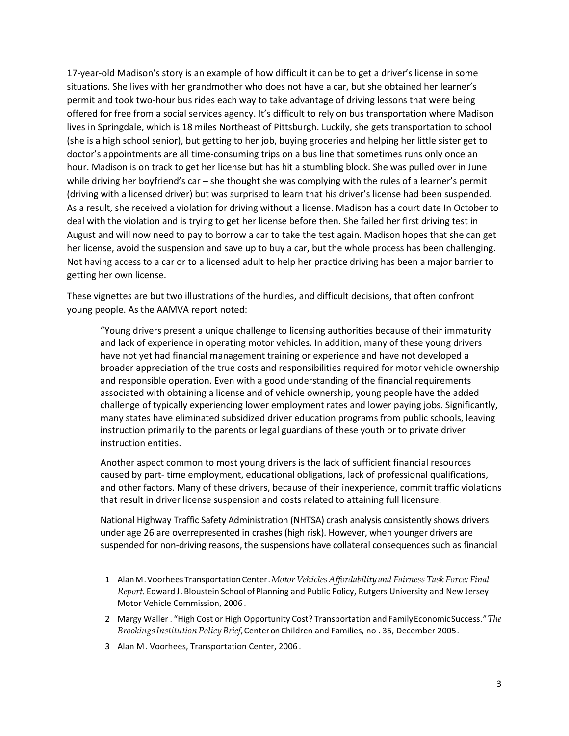17-year-old Madison's story is an example of how difficult it can be to get a driver's license in some situations. She lives with her grandmother who does not have a car, but she obtained her learner's permit and took two-hour bus rides each way to take advantage of driving lessons that were being offered for free from a social services agency. It's difficult to rely on bus transportation where Madison lives in Springdale, which is 18 miles Northeast of Pittsburgh. Luckily, she gets transportation to school (she is a high school senior), but getting to her job, buying groceries and helping her little sister get to doctor's appointments are all time-consuming trips on a bus line that sometimes runs only once an hour. Madison is on track to get her license but has hit a stumbling block. She was pulled over in June while driving her boyfriend's car – she thought she was complying with the rules of a learner's permit (driving with a licensed driver) but was surprised to learn that his driver's license had been suspended. As a result, she received a violation for driving without a license. Madison has a court date In October to deal with the violation and is trying to get her license before then. She failed her first driving test in August and will now need to pay to borrow a car to take the test again. Madison hopes that she can get her license, avoid the suspension and save up to buy a car, but the whole process has been challenging. Not having access to a car or to a licensed adult to help her practice driving has been a major barrier to getting her own license.

These vignettes are but two illustrations of the hurdles, and difficult decisions, that often confront young people. As the AAMVA report noted:

"Young drivers present a unique challenge to licensing authorities because of their immaturity and lack of experience in operating motor vehicles. In addition, many of these young drivers have not yet had financial management training or experience and have not developed a broader appreciation of the true costs and responsibilities required for motor vehicle ownership and responsible operation. Even with a good understanding of the financial requirements associated with obtaining a license and of vehicle ownership, young people have the added challenge of typically experiencing lower employment rates and lower paying jobs. Significantly, many states have eliminated subsidized driver education programs from public schools, leaving instruction primarily to the parents or legal guardians of these youth or to private driver instruction entities.

Another aspect common to most young drivers is the lack of sufficient financial resources caused by part- time employment, educational obligations, lack of professional qualifications, and other factors. Many of these drivers, because of their inexperience, commit traffic violations that result in driver license suspension and costs related to attaining full licensure.

National Highway Traffic Safety Administration (NHTSA) crash analysis consistently shows drivers under age 26 are overrepresented in crashes (high risk). However, when younger drivers are suspended for non-driving reasons, the suspensions have collateral consequences such as financial

<sup>1</sup> AlanM.Voorhees TransportationCenter.*MotorVehiclesAffordability and Fairness Task Force: Final Report.* Edward J. Bloustein School of Planning and Public Policy, Rutgers University and New Jersey Motor Vehicle Commission, 2006 .

<sup>2</sup> Margy Waller . "High Cost or High Opportunity Cost? Transportation and FamilyEconomicSuccess."*The BrookingsInstitutionPolicyBrief*,Centeron Children and Families, no . 35, December 2005.

<sup>3</sup> Alan M. Voorhees, Transportation Center, 2006 .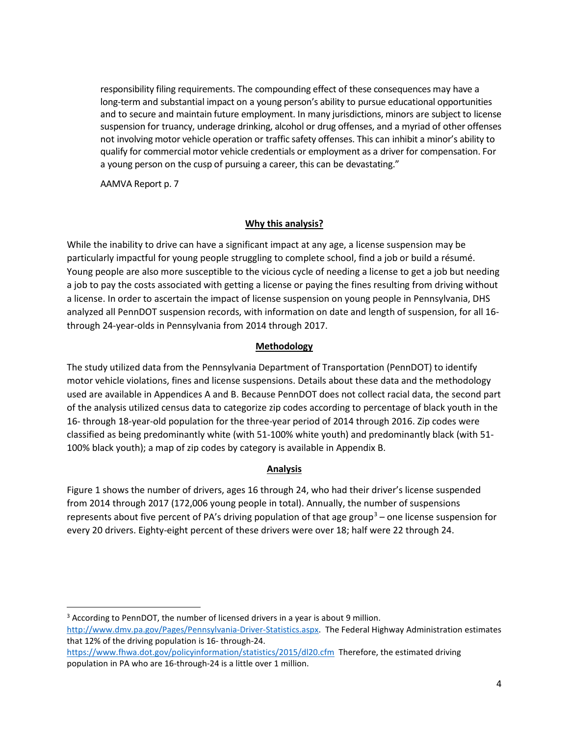responsibility filing requirements. The compounding effect of these consequences may have a long-term and substantial impact on a young person's ability to pursue educational opportunities and to secure and maintain future employment. In many jurisdictions, minors are subject to license suspension for truancy, underage drinking, alcohol or drug offenses, and a myriad of other offenses not involving motor vehicle operation or traffic safety offenses. This can inhibit a minor's ability to qualify for commercial motor vehicle credentials or employment as a driver for compensation. For a young person on the cusp of pursuing a career, this can be devastating."

AAMVA Report p. 7

#### **Why this analysis?**

While the inability to drive can have a significant impact at any age, a license suspension may be particularly impactful for young people struggling to complete school, find a job or build a résumé. Young people are also more susceptible to the vicious cycle of needing a license to get a job but needing a job to pay the costs associated with getting a license or paying the fines resulting from driving without a license. In order to ascertain the impact of license suspension on young people in Pennsylvania, DHS analyzed all PennDOT suspension records, with information on date and length of suspension, for all 16 through 24-year-olds in Pennsylvania from 2014 through 2017.

#### **Methodology**

The study utilized data from the Pennsylvania Department of Transportation (PennDOT) to identify motor vehicle violations, fines and license suspensions. Details about these data and the methodology used are available in Appendices A and B. Because PennDOT does not collect racial data, the second part of the analysis utilized census data to categorize zip codes according to percentage of black youth in the 16- through 18-year-old population for the three-year period of 2014 through 2016. Zip codes were classified as being predominantly white (with 51-100% white youth) and predominantly black (with 51- 100% black youth); a map of zip codes by category is available in Appendix B.

#### **Analysis**

Figure 1 shows the number of drivers, ages 16 through 24, who had their driver's license suspended from 2014 through 2017 (172,006 young people in total). Annually, the number of suspensions represents about five percent of PA's driving population of that age group<sup>[3](#page-4-0)</sup> – one license suspension for every 20 drivers. Eighty-eight percent of these drivers were over 18; half were 22 through 24.

<span id="page-4-0"></span><sup>3</sup> According to PennDOT, the number of licensed drivers in a year is about 9 million.

[http://www.dmv.pa.gov/Pages/Pennsylvania-Driver-Statistics.aspx.](http://www.dmv.pa.gov/Pages/Pennsylvania-Driver-Statistics.aspx) The Federal Highway Administration estimates that 12% of the driving population is 16- through-24.

<https://www.fhwa.dot.gov/policyinformation/statistics/2015/dl20.cfm> Therefore, the estimated driving population in PA who are 16-through-24 is a little over 1 million.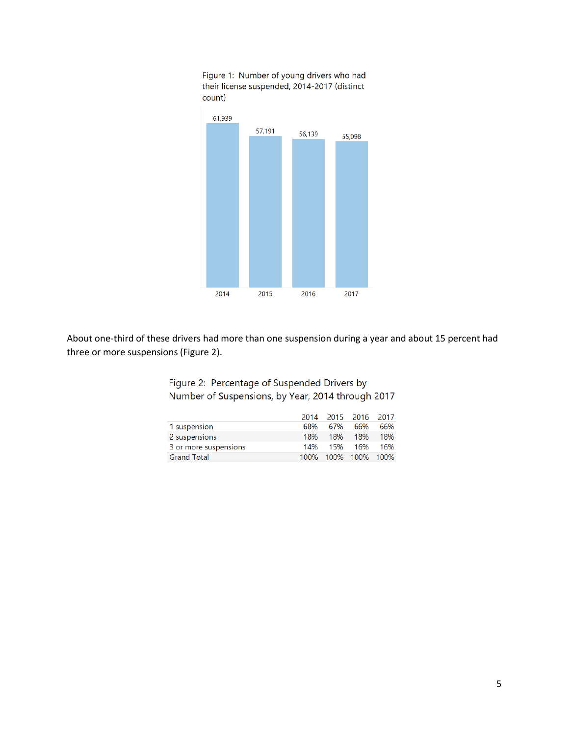Figure 1: Number of young drivers who had their license suspended, 2014-2017 (distinct count)



About one-third of these drivers had more than one suspension during a year and about 15 percent had three or more suspensions (Figure 2).

> Figure 2: Percentage of Suspended Drivers by Number of Suspensions, by Year, 2014 through 2017

|                       |     | 2014 2015 2016 2017 |     |     |
|-----------------------|-----|---------------------|-----|-----|
| 1 suspension          | 68% | 67%                 | 66% | 66% |
| 2 suspensions         | 18% | 18%                 | 18% | 18% |
| 3 or more suspensions |     | 14% 15% 16%         |     | 16% |
| <b>Grand Total</b>    |     | 100% 100% 100% 100% |     |     |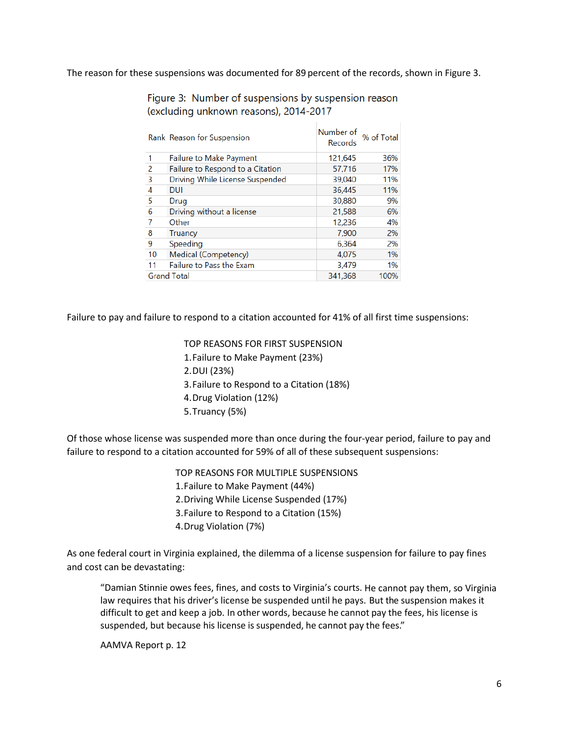The reason for these suspensions was documented for 89 percent of the records, shown in Figure 3.

|    | Rank Reason for Suspension       | Number of<br>Records | % of Total |
|----|----------------------------------|----------------------|------------|
| 1  | <b>Failure to Make Payment</b>   | 121,645              | 36%        |
| 2  | Failure to Respond to a Citation | 57,716               | 17%        |
| 3  | Driving While License Suspended  | 39,040               | 11%        |
| 4  | <b>DUI</b>                       | 36,445               | 11%        |
| 5  | Drug                             | 30,880               | 9%         |
| 6  | Driving without a license        | 21,588               | 6%         |
|    | Other                            | 12,236               | 4%         |
| 8  | <b>Truancy</b>                   | 7,900                | 2%         |
| 9  | Speeding                         | 6.364                | 2%         |
| 10 | Medical (Competency)             | 4,075                | 1%         |
| 11 | Failure to Pass the Exam         | 3,479                | 1%         |
|    | <b>Grand Total</b>               | 341,368              | 100%       |

Figure 3: Number of suspensions by suspension reason (excluding unknown reasons), 2014-2017

Failure to pay and failure to respond to a citation accounted for 41% of all first time suspensions:

TOP REASONS FOR FIRST SUSPENSION 1.Failure to Make Payment (23%) 2.DUI (23%) 3.Failure to Respond to a Citation (18%) 4.Drug Violation (12%) 5.Truancy (5%)

Of those whose license was suspended more than once during the four-year period, failure to pay and failure to respond to a citation accounted for 59% of all of these subsequent suspensions:

> TOP REASONS FOR MULTIPLE SUSPENSIONS 1.Failure to Make Payment (44%) 2.Driving While License Suspended (17%) 3.Failure to Respond to a Citation (15%) 4.Drug Violation (7%)

As one federal court in Virginia explained, the dilemma of a license suspension for failure to pay fines and cost can be devastating:

"Damian Stinnie owes fees, fines, and costs to Virginia's courts. He cannot pay them, so Virginia law requires that his driver's license be suspended until he pays. But the suspension makes it difficult to get and keep a job. In other words, because he cannot pay the fees, his license is suspended, but because his license is suspended, he cannot pay the fees."

AAMVA Report p. 12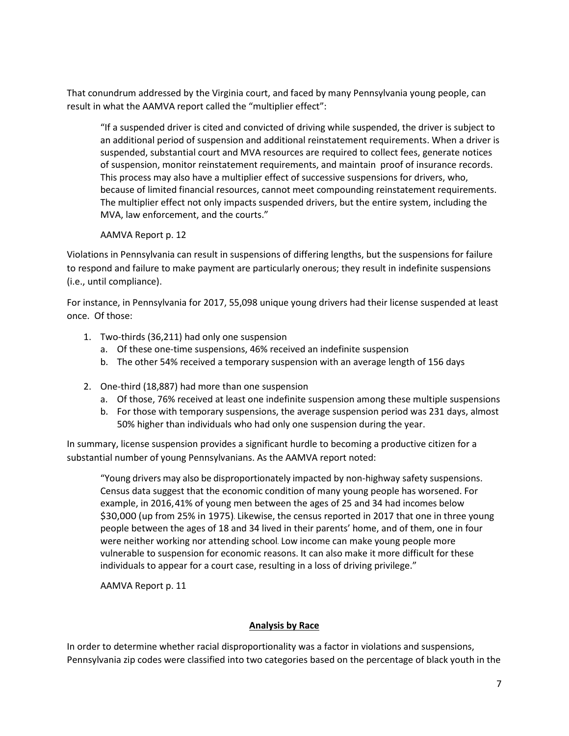That conundrum addressed by the Virginia court, and faced by many Pennsylvania young people, can result in what the AAMVA report called the "multiplier effect":

"If a suspended driver is cited and convicted of driving while suspended, the driver is subject to an additional period of suspension and additional reinstatement requirements. When a driver is suspended, substantial court and MVA resources are required to collect fees, generate notices of suspension, monitor reinstatement requirements, and maintain proof of insurance records. This process may also have a multiplier effect of successive suspensions for drivers, who, because of limited financial resources, cannot meet compounding reinstatement requirements. The multiplier effect not only impacts suspended drivers, but the entire system, including the MVA, law enforcement, and the courts."

## AAMVA Report p. 12

Violations in Pennsylvania can result in suspensions of differing lengths, but the suspensions for failure to respond and failure to make payment are particularly onerous; they result in indefinite suspensions (i.e., until compliance).

For instance, in Pennsylvania for 2017, 55,098 unique young drivers had their license suspended at least once. Of those:

- 1. Two-thirds (36,211) had only one suspension
	- a. Of these one-time suspensions, 46% received an indefinite suspension
	- b. The other 54% received a temporary suspension with an average length of 156 days
- 2. One-third (18,887) had more than one suspension
	- a. Of those, 76% received at least one indefinite suspension among these multiple suspensions
	- b. For those with temporary suspensions, the average suspension period was 231 days, almost 50% higher than individuals who had only one suspension during the year.

In summary, license suspension provides a significant hurdle to becoming a productive citizen for a substantial number of young Pennsylvanians. As the AAMVA report noted:

"Young drivers may also be disproportionately impacted by non-highway safety suspensions. Census data suggest that the economic condition of many young people has worsened. For example, in 2016,41% of young men between the ages of 25 and 34 had incomes below \$30,000 (up from 25% in 1975). Likewise, the census reported in 2017 that one in three young people between the ages of 18 and 34 lived in their parents' home, and of them, one in four were neither working nor attending school. Low income can make young people more vulnerable to suspension for economic reasons. It can also make it more difficult for these individuals to appear for a court case, resulting in a loss of driving privilege."

AAMVA Report p. 11

#### **Analysis by Race**

In order to determine whether racial disproportionality was a factor in violations and suspensions, Pennsylvania zip codes were classified into two categories based on the percentage of black youth in the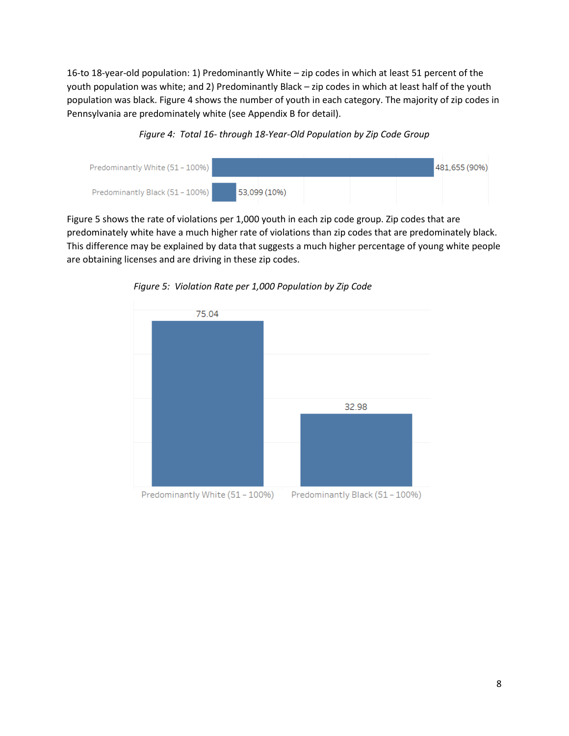16-to 18-year-old population: 1) Predominantly White – zip codes in which at least 51 percent of the youth population was white; and 2) Predominantly Black – zip codes in which at least half of the youth population was black. Figure 4 shows the number of youth in each category. The majority of zip codes in Pennsylvania are predominately white (see Appendix B for detail).

*Figure 4: Total 16- through 18-Year-Old Population by Zip Code Group*



Figure 5 shows the rate of violations per 1,000 youth in each zip code group. Zip codes that are predominately white have a much higher rate of violations than zip codes that are predominately black. This difference may be explained by data that suggests a much higher percentage of young white people are obtaining licenses and are driving in these zip codes.



*Figure 5: Violation Rate per 1,000 Population by Zip Code*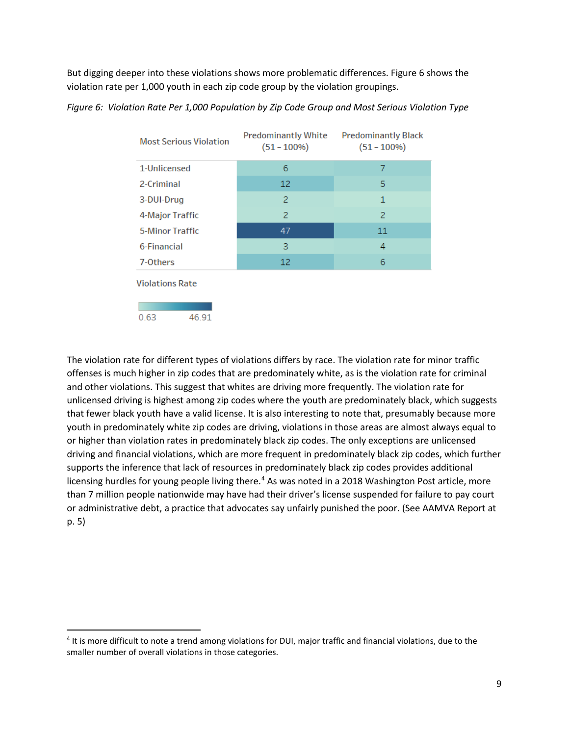But digging deeper into these violations shows more problematic differences. Figure 6 shows the violation rate per 1,000 youth in each zip code group by the violation groupings.

| <b>Most Serious Violation</b> | <b>Predominantly White</b><br>$(51 - 100\%)$ | <b>Predominantly Black</b><br>$(51 - 100\%)$ |
|-------------------------------|----------------------------------------------|----------------------------------------------|
| 1-Unlicensed                  | 6                                            | 7                                            |
| 2-Criminal                    | 12                                           | 5                                            |
| 3-DUI-Drug                    | 2                                            | $\mathbf{1}$                                 |
| 4-Major Traffic               | 2                                            | 2                                            |
| <b>5-Minor Traffic</b>        | 47                                           | 11                                           |
| 6-Financial                   | 3                                            | 4                                            |
| 7-Others                      | 12                                           | 6                                            |
| <b>Violations Rate</b>        |                                              |                                              |
| 46.91<br>0.63                 |                                              |                                              |

*Figure 6: Violation Rate Per 1,000 Population by Zip Code Group and Most Serious Violation Type*

The violation rate for different types of violations differs by race. The violation rate for minor traffic offenses is much higher in zip codes that are predominately white, as is the violation rate for criminal and other violations. This suggest that whites are driving more frequently. The violation rate for unlicensed driving is highest among zip codes where the youth are predominately black, which suggests that fewer black youth have a valid license. It is also interesting to note that, presumably because more youth in predominately white zip codes are driving, violations in those areas are almost always equal to or higher than violation rates in predominately black zip codes. The only exceptions are unlicensed driving and financial violations, which are more frequent in predominately black zip codes, which further supports the inference that lack of resources in predominately black zip codes provides additional licensing hurdles for young people living there.<sup>[4](#page-9-0)</sup> As was noted in a 2018 Washington Post article, more than 7 million people nationwide may have had their driver's license suspended for failure to pay court or administrative debt, a practice that advocates say unfairly punished the poor. (See AAMVA Report at p. 5)

<span id="page-9-0"></span> <sup>4</sup> It is more difficult to note a trend among violations for DUI, major traffic and financial violations, due to the smaller number of overall violations in those categories.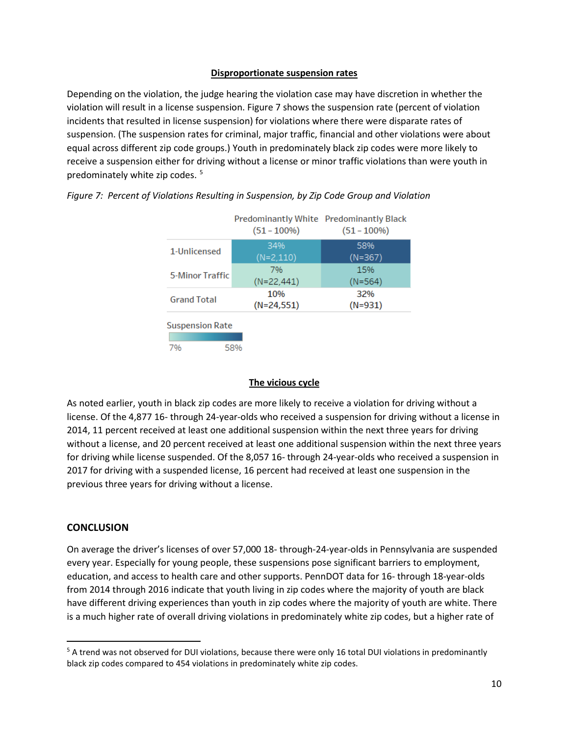#### **Disproportionate suspension rates**

Depending on the violation, the judge hearing the violation case may have discretion in whether the violation will result in a license suspension. Figure 7 shows the suspension rate (percent of violation incidents that resulted in license suspension) for violations where there were disparate rates of suspension. (The suspension rates for criminal, major traffic, financial and other violations were about equal across different zip code groups.) Youth in predominately black zip codes were more likely to receive a suspension either for driving without a license or minor traffic violations than were youth in predominately white zip codes. [5](#page-10-0)

|                        | <b>Predominantly White Predominantly Black</b><br>$(51 - 100\%)$ | $(51 - 100\%)$ |
|------------------------|------------------------------------------------------------------|----------------|
| 1-Unlicensed           | 34%                                                              | 58%            |
|                        | $(N=2,110)$                                                      | (N=367)        |
| 5-Minor Traffic        | 7%                                                               | 15%            |
|                        | (N=22,441)                                                       | $(N=564)$      |
| <b>Grand Total</b>     | 10%                                                              | 32%            |
|                        | $(N=24,551)$                                                     | $(N=931)$      |
| <b>Suspension Rate</b> |                                                                  |                |
|                        |                                                                  |                |
| 7%                     | 58%                                                              |                |

#### *Figure 7: Percent of Violations Resulting in Suspension, by Zip Code Group and Violation*

#### **The vicious cycle**

As noted earlier, youth in black zip codes are more likely to receive a violation for driving without a license. Of the 4,877 16- through 24-year-olds who received a suspension for driving without a license in 2014, 11 percent received at least one additional suspension within the next three years for driving without a license, and 20 percent received at least one additional suspension within the next three years for driving while license suspended. Of the 8,057 16- through 24-year-olds who received a suspension in 2017 for driving with a suspended license, 16 percent had received at least one suspension in the previous three years for driving without a license.

#### **CONCLUSION**

On average the driver's licenses of over 57,000 18- through-24-year-olds in Pennsylvania are suspended every year. Especially for young people, these suspensions pose significant barriers to employment, education, and access to health care and other supports. PennDOT data for 16- through 18-year-olds from 2014 through 2016 indicate that youth living in zip codes where the majority of youth are black have different driving experiences than youth in zip codes where the majority of youth are white. There is a much higher rate of overall driving violations in predominately white zip codes, but a higher rate of

<span id="page-10-0"></span><sup>&</sup>lt;sup>5</sup> A trend was not observed for DUI violations, because there were only 16 total DUI violations in predominantly black zip codes compared to 454 violations in predominately white zip codes.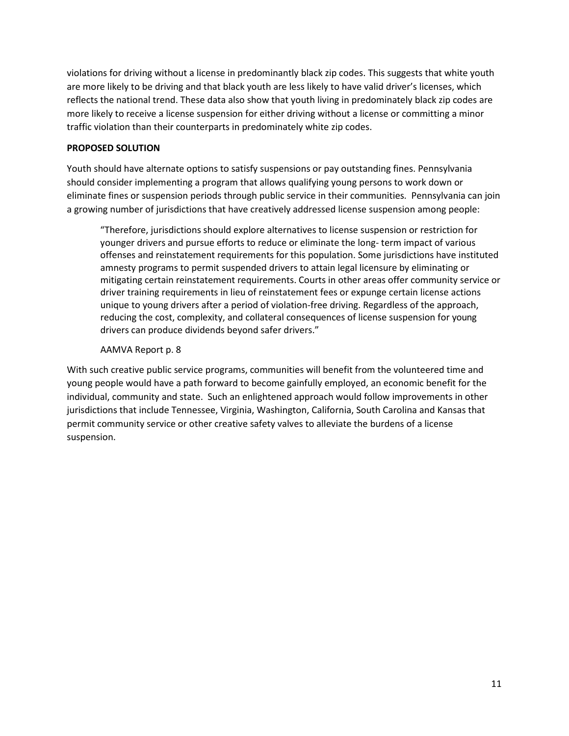violations for driving without a license in predominantly black zip codes. This suggests that white youth are more likely to be driving and that black youth are less likely to have valid driver's licenses, which reflects the national trend. These data also show that youth living in predominately black zip codes are more likely to receive a license suspension for either driving without a license or committing a minor traffic violation than their counterparts in predominately white zip codes.

## **PROPOSED SOLUTION**

Youth should have alternate options to satisfy suspensions or pay outstanding fines. Pennsylvania should consider implementing a program that allows qualifying young persons to work down or eliminate fines or suspension periods through public service in their communities. Pennsylvania can join a growing number of jurisdictions that have creatively addressed license suspension among people:

"Therefore, jurisdictions should explore alternatives to license suspension or restriction for younger drivers and pursue efforts to reduce or eliminate the long- term impact of various offenses and reinstatement requirements for this population. Some jurisdictions have instituted amnesty programs to permit suspended drivers to attain legal licensure by eliminating or mitigating certain reinstatement requirements. Courts in other areas offer community service or driver training requirements in lieu of reinstatement fees or expunge certain license actions unique to young drivers after a period of violation-free driving. Regardless of the approach, reducing the cost, complexity, and collateral consequences of license suspension for young drivers can produce dividends beyond safer drivers."

## AAMVA Report p. 8

With such creative public service programs, communities will benefit from the volunteered time and young people would have a path forward to become gainfully employed, an economic benefit for the individual, community and state. Such an enlightened approach would follow improvements in other jurisdictions that include Tennessee, Virginia, Washington, California, South Carolina and Kansas that permit community service or other creative safety valves to alleviate the burdens of a license suspension.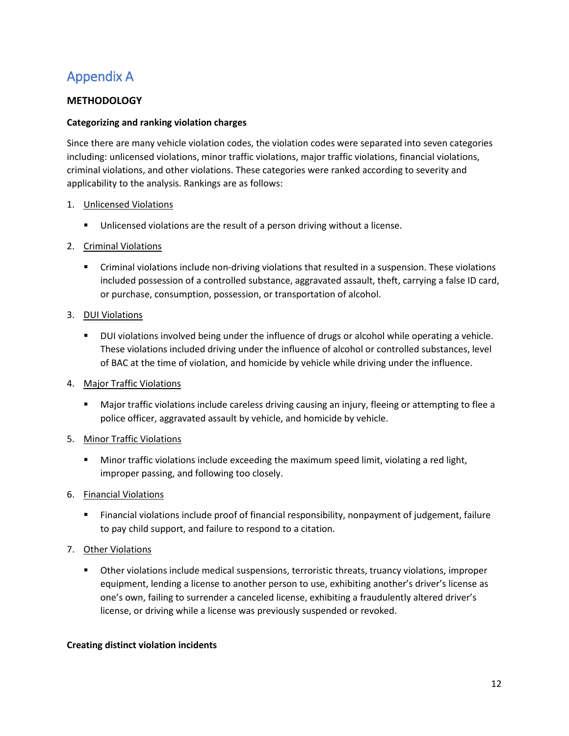# Appendix A

## **METHODOLOGY**

## **Categorizing and ranking violation charges**

Since there are many vehicle violation codes, the violation codes were separated into seven categories including: unlicensed violations, minor traffic violations, major traffic violations, financial violations, criminal violations, and other violations. These categories were ranked according to severity and applicability to the analysis. Rankings are as follows:

## 1. Unlicensed Violations

**Unlicensed violations are the result of a person driving without a license.** 

## 2. Criminal Violations

- Criminal violations include non-driving violations that resulted in a suspension. These violations included possession of a controlled substance, aggravated assault, theft, carrying a false ID card, or purchase, consumption, possession, or transportation of alcohol.
- 3. DUI Violations
	- **DUI violations involved being under the influence of drugs or alcohol while operating a vehicle.** These violations included driving under the influence of alcohol or controlled substances, level of BAC at the time of violation, and homicide by vehicle while driving under the influence.

#### 4. Major Traffic Violations

 Major traffic violations include careless driving causing an injury, fleeing or attempting to flee a police officer, aggravated assault by vehicle, and homicide by vehicle.

## 5. Minor Traffic Violations

- **Minor traffic violations include exceeding the maximum speed limit, violating a red light,** improper passing, and following too closely.
- 6. Financial Violations
	- Financial violations include proof of financial responsibility, nonpayment of judgement, failure to pay child support, and failure to respond to a citation.
- 7. Other Violations
	- Other violations include medical suspensions, terroristic threats, truancy violations, improper equipment, lending a license to another person to use, exhibiting another's driver's license as one's own, failing to surrender a canceled license, exhibiting a fraudulently altered driver's license, or driving while a license was previously suspended or revoked.

#### **Creating distinct violation incidents**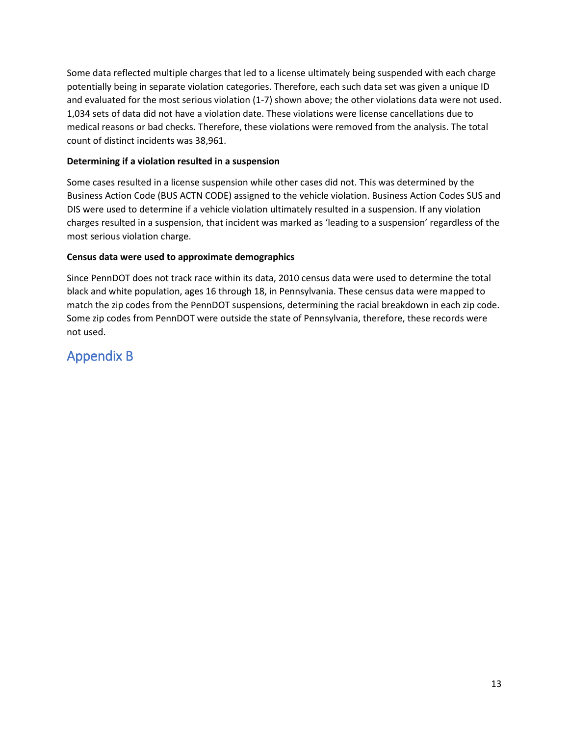Some data reflected multiple charges that led to a license ultimately being suspended with each charge potentially being in separate violation categories. Therefore, each such data set was given a unique ID and evaluated for the most serious violation (1-7) shown above; the other violations data were not used. 1,034 sets of data did not have a violation date. These violations were license cancellations due to medical reasons or bad checks. Therefore, these violations were removed from the analysis. The total count of distinct incidents was 38,961.

## **Determining if a violation resulted in a suspension**

Some cases resulted in a license suspension while other cases did not. This was determined by the Business Action Code (BUS ACTN CODE) assigned to the vehicle violation. Business Action Codes SUS and DIS were used to determine if a vehicle violation ultimately resulted in a suspension. If any violation charges resulted in a suspension, that incident was marked as 'leading to a suspension' regardless of the most serious violation charge.

## **Census data were used to approximate demographics**

Since PennDOT does not track race within its data, 2010 census data were used to determine the total black and white population, ages 16 through 18, in Pennsylvania. These census data were mapped to match the zip codes from the PennDOT suspensions, determining the racial breakdown in each zip code. Some zip codes from PennDOT were outside the state of Pennsylvania, therefore, these records were not used.

## Appendix B